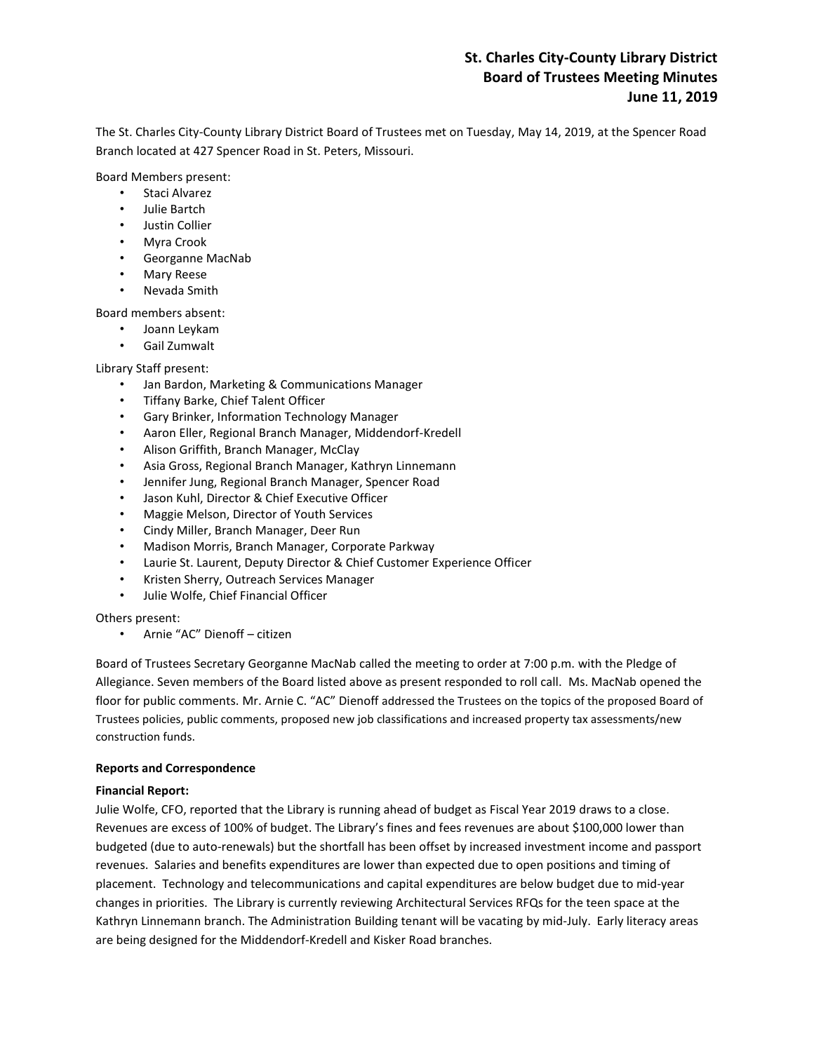# **St. Charles City-County Library District Board of Trustees Meeting Minutes June 11, 2019**

The St. Charles City-County Library District Board of Trustees met on Tuesday, May 14, 2019, at the Spencer Road Branch located at 427 Spencer Road in St. Peters, Missouri.

Board Members present:

- Staci Alvarez
- Julie Bartch
- Justin Collier
- Myra Crook
- Georganne MacNab
- Mary Reese
- Nevada Smith

Board members absent:

- Joann Leykam
- Gail Zumwalt

Library Staff present:

- Jan Bardon, Marketing & Communications Manager
- Tiffany Barke, Chief Talent Officer
- Gary Brinker, Information Technology Manager
- Aaron Eller, Regional Branch Manager, Middendorf-Kredell
- Alison Griffith, Branch Manager, McClay
- Asia Gross, Regional Branch Manager, Kathryn Linnemann
- Jennifer Jung, Regional Branch Manager, Spencer Road
- Jason Kuhl, Director & Chief Executive Officer
- Maggie Melson, Director of Youth Services
- Cindy Miller, Branch Manager, Deer Run
- Madison Morris, Branch Manager, Corporate Parkway
- Laurie St. Laurent, Deputy Director & Chief Customer Experience Officer
- Kristen Sherry, Outreach Services Manager
- Julie Wolfe, Chief Financial Officer

Others present:

• Arnie "AC" Dienoff – citizen

Board of Trustees Secretary Georganne MacNab called the meeting to order at 7:00 p.m. with the Pledge of Allegiance. Seven members of the Board listed above as present responded to roll call. Ms. MacNab opened the floor for public comments. Mr. Arnie C. "AC" Dienoff addressed the Trustees on the topics of the proposed Board of Trustees policies, public comments, proposed new job classifications and increased property tax assessments/new construction funds.

### **Reports and Correspondence**

### **Financial Report:**

Julie Wolfe, CFO, reported that the Library is running ahead of budget as Fiscal Year 2019 draws to a close. Revenues are excess of 100% of budget. The Library's fines and fees revenues are about \$100,000 lower than budgeted (due to auto-renewals) but the shortfall has been offset by increased investment income and passport revenues. Salaries and benefits expenditures are lower than expected due to open positions and timing of placement. Technology and telecommunications and capital expenditures are below budget due to mid-year changes in priorities. The Library is currently reviewing Architectural Services RFQs for the teen space at the Kathryn Linnemann branch. The Administration Building tenant will be vacating by mid-July. Early literacy areas are being designed for the Middendorf-Kredell and Kisker Road branches.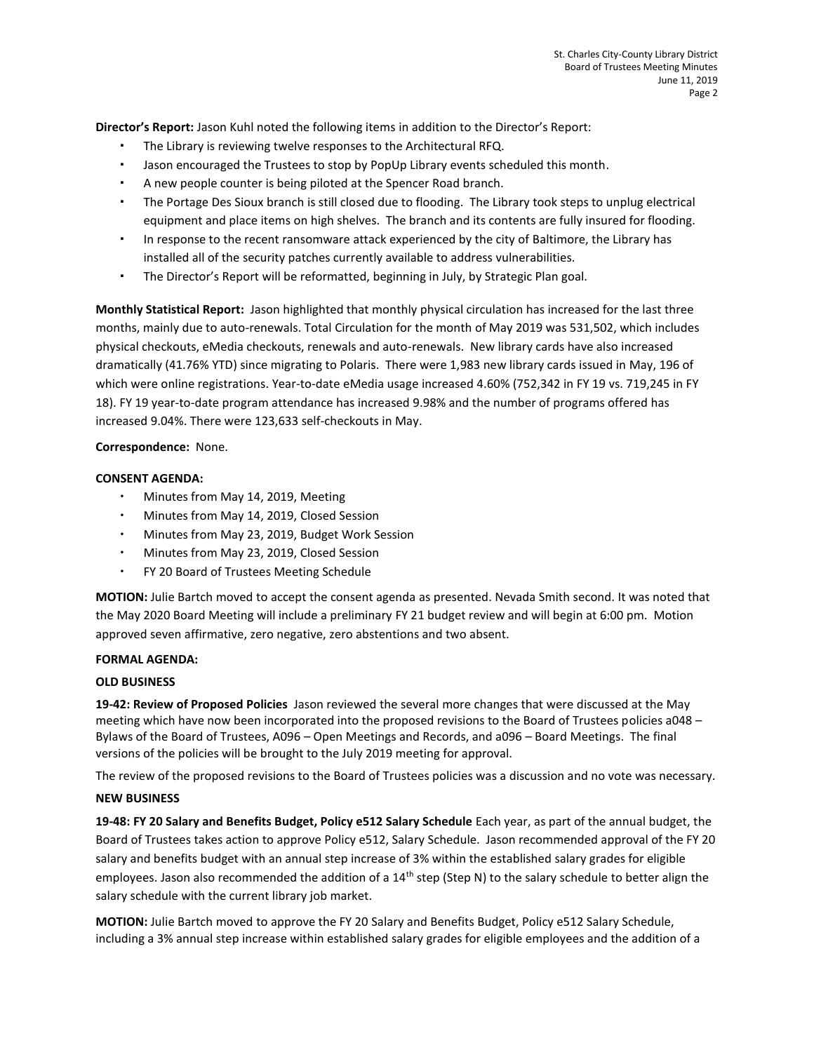**Director's Report:** Jason Kuhl noted the following items in addition to the Director's Report:

- The Library is reviewing twelve responses to the Architectural RFQ.
- Jason encouraged the Trustees to stop by PopUp Library events scheduled this month.
- A new people counter is being piloted at the Spencer Road branch.
- The Portage Des Sioux branch is still closed due to flooding. The Library took steps to unplug electrical equipment and place items on high shelves. The branch and its contents are fully insured for flooding.
- In response to the recent ransomware attack experienced by the city of Baltimore, the Library has installed all of the security patches currently available to address vulnerabilities.
- The Director's Report will be reformatted, beginning in July, by Strategic Plan goal.

**Monthly Statistical Report:** Jason highlighted that monthly physical circulation has increased for the last three months, mainly due to auto-renewals. Total Circulation for the month of May 2019 was 531,502, which includes physical checkouts, eMedia checkouts, renewals and auto-renewals. New library cards have also increased dramatically (41.76% YTD) since migrating to Polaris. There were 1,983 new library cards issued in May, 196 of which were online registrations. Year-to-date eMedia usage increased 4.60% (752,342 in FY 19 vs. 719,245 in FY 18). FY 19 year-to-date program attendance has increased 9.98% and the number of programs offered has increased 9.04%. There were 123,633 self-checkouts in May.

### **Correspondence:** None.

### **CONSENT AGENDA:**

- Minutes from May 14, 2019, Meeting
- Minutes from May 14, 2019, Closed Session
- Minutes from May 23, 2019, Budget Work Session
- Minutes from May 23, 2019, Closed Session
- FY 20 Board of Trustees Meeting Schedule

**MOTION:** Julie Bartch moved to accept the consent agenda as presented. Nevada Smith second. It was noted that the May 2020 Board Meeting will include a preliminary FY 21 budget review and will begin at 6:00 pm. Motion approved seven affirmative, zero negative, zero abstentions and two absent.

### **FORMAL AGENDA:**

### **OLD BUSINESS**

**19-42: Review of Proposed Policies** Jason reviewed the several more changes that were discussed at the May meeting which have now been incorporated into the proposed revisions to the Board of Trustees policies a048 – Bylaws of the Board of Trustees, A096 – Open Meetings and Records, and a096 – Board Meetings. The final versions of the policies will be brought to the July 2019 meeting for approval.

The review of the proposed revisions to the Board of Trustees policies was a discussion and no vote was necessary.

### **NEW BUSINESS**

**19-48: FY 20 Salary and Benefits Budget, Policy e512 Salary Schedule** Each year, as part of the annual budget, the Board of Trustees takes action to approve Policy e512, Salary Schedule. Jason recommended approval of the FY 20 salary and benefits budget with an annual step increase of 3% within the established salary grades for eligible employees. Jason also recommended the addition of a 14<sup>th</sup> step (Step N) to the salary schedule to better align the salary schedule with the current library job market.

**MOTION:** Julie Bartch moved to approve the FY 20 Salary and Benefits Budget, Policy e512 Salary Schedule, including a 3% annual step increase within established salary grades for eligible employees and the addition of a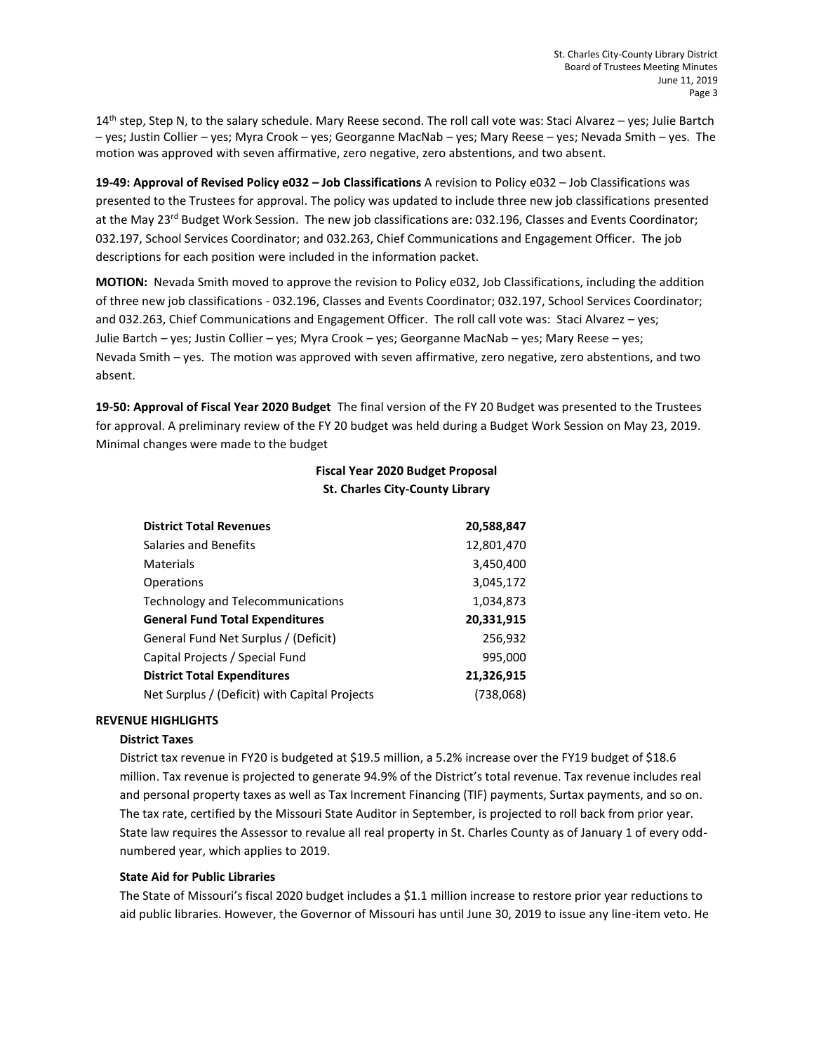$14<sup>th</sup>$  step, Step N, to the salary schedule. Mary Reese second. The roll call vote was: Staci Alvarez – yes; Julie Bartch – yes; Justin Collier – yes; Myra Crook – yes; Georganne MacNab – yes; Mary Reese – yes; Nevada Smith – yes. The motion was approved with seven affirmative, zero negative, zero abstentions, and two absent.

**19-49: Approval of Revised Policy e032 – Job Classifications** A revision to Policy e032 – Job Classifications was presented to the Trustees for approval. The policy was updated to include three new job classifications presented at the May 23<sup>rd</sup> Budget Work Session. The new job classifications are: 032.196, Classes and Events Coordinator; 032.197, School Services Coordinator; and 032.263, Chief Communications and Engagement Officer. The job descriptions for each position were included in the information packet.

**MOTION:** Nevada Smith moved to approve the revision to Policy e032, Job Classifications, including the addition of three new job classifications - 032.196, Classes and Events Coordinator; 032.197, School Services Coordinator; and 032.263, Chief Communications and Engagement Officer. The roll call vote was: Staci Alvarez – yes; Julie Bartch – yes; Justin Collier – yes; Myra Crook – yes; Georganne MacNab – yes; Mary Reese – yes; Nevada Smith – yes. The motion was approved with seven affirmative, zero negative, zero abstentions, and two absent.

**19-50: Approval of Fiscal Year 2020 Budget** The final version of the FY 20 Budget was presented to the Trustees for approval. A preliminary review of the FY 20 budget was held during a Budget Work Session on May 23, 2019. Minimal changes were made to the budget

# **Fiscal Year 2020 Budget Proposal St. Charles City-County Library**

| <b>District Total Revenues</b>                | 20,588,847 |
|-----------------------------------------------|------------|
| Salaries and Benefits                         | 12,801,470 |
| Materials                                     | 3,450,400  |
| Operations                                    | 3,045,172  |
| Technology and Telecommunications             | 1,034,873  |
| <b>General Fund Total Expenditures</b>        | 20,331,915 |
| General Fund Net Surplus / (Deficit)          | 256,932    |
| Capital Projects / Special Fund               | 995,000    |
| <b>District Total Expenditures</b>            | 21,326,915 |
| Net Surplus / (Deficit) with Capital Projects | (738,068)  |

# **REVENUE HIGHLIGHTS**

# **District Taxes**

District tax revenue in FY20 is budgeted at \$19.5 million, a 5.2% increase over the FY19 budget of \$18.6 million. Tax revenue is projected to generate 94.9% of the District's total revenue. Tax revenue includes real and personal property taxes as well as Tax Increment Financing (TIF) payments, Surtax payments, and so on. The tax rate, certified by the Missouri State Auditor in September, is projected to roll back from prior year. State law requires the Assessor to revalue all real property in St. Charles County as of January 1 of every oddnumbered year, which applies to 2019.

# **State Aid for Public Libraries**

The State of Missouri's fiscal 2020 budget includes a \$1.1 million increase to restore prior year reductions to aid public libraries. However, the Governor of Missouri has until June 30, 2019 to issue any line-item veto. He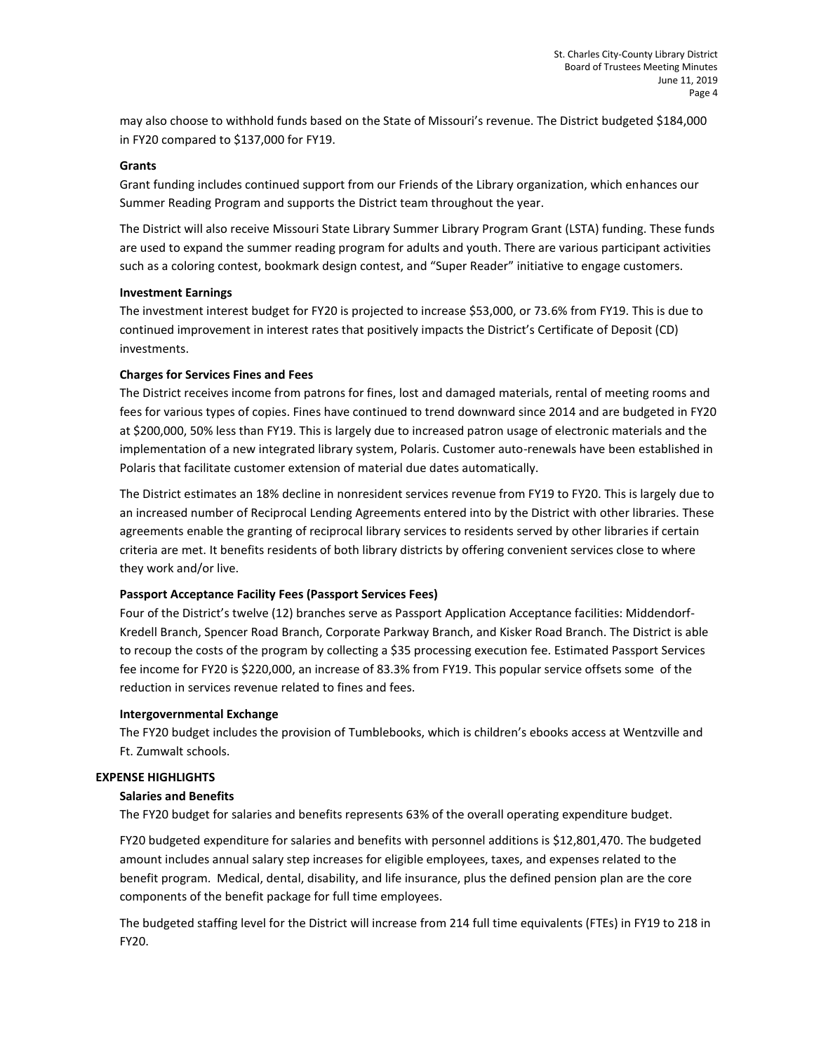may also choose to withhold funds based on the State of Missouri's revenue. The District budgeted \$184,000 in FY20 compared to \$137,000 for FY19.

### **Grants**

Grant funding includes continued support from our Friends of the Library organization, which enhances our Summer Reading Program and supports the District team throughout the year.

The District will also receive Missouri State Library Summer Library Program Grant (LSTA) funding. These funds are used to expand the summer reading program for adults and youth. There are various participant activities such as a coloring contest, bookmark design contest, and "Super Reader" initiative to engage customers.

#### **Investment Earnings**

The investment interest budget for FY20 is projected to increase \$53,000, or 73.6% from FY19. This is due to continued improvement in interest rates that positively impacts the District's Certificate of Deposit (CD) investments.

#### **Charges for Services Fines and Fees**

The District receives income from patrons for fines, lost and damaged materials, rental of meeting rooms and fees for various types of copies. Fines have continued to trend downward since 2014 and are budgeted in FY20 at \$200,000, 50% less than FY19. This is largely due to increased patron usage of electronic materials and the implementation of a new integrated library system, Polaris. Customer auto-renewals have been established in Polaris that facilitate customer extension of material due dates automatically.

The District estimates an 18% decline in nonresident services revenue from FY19 to FY20. This is largely due to an increased number of Reciprocal Lending Agreements entered into by the District with other libraries. These agreements enable the granting of reciprocal library services to residents served by other libraries if certain criteria are met. It benefits residents of both library districts by offering convenient services close to where they work and/or live.

### **Passport Acceptance Facility Fees (Passport Services Fees)**

Four of the District's twelve (12) branches serve as Passport Application Acceptance facilities: Middendorf-Kredell Branch, Spencer Road Branch, Corporate Parkway Branch, and Kisker Road Branch. The District is able to recoup the costs of the program by collecting a \$35 processing execution fee. Estimated Passport Services fee income for FY20 is \$220,000, an increase of 83.3% from FY19. This popular service offsets some of the reduction in services revenue related to fines and fees.

### **Intergovernmental Exchange**

The FY20 budget includes the provision of Tumblebooks, which is children's ebooks access at Wentzville and Ft. Zumwalt schools.

### **EXPENSE HIGHLIGHTS**

### **Salaries and Benefits**

The FY20 budget for salaries and benefits represents 63% of the overall operating expenditure budget.

FY20 budgeted expenditure for salaries and benefits with personnel additions is \$12,801,470. The budgeted amount includes annual salary step increases for eligible employees, taxes, and expenses related to the benefit program. Medical, dental, disability, and life insurance, plus the defined pension plan are the core components of the benefit package for full time employees.

The budgeted staffing level for the District will increase from 214 full time equivalents (FTEs) in FY19 to 218 in FY20.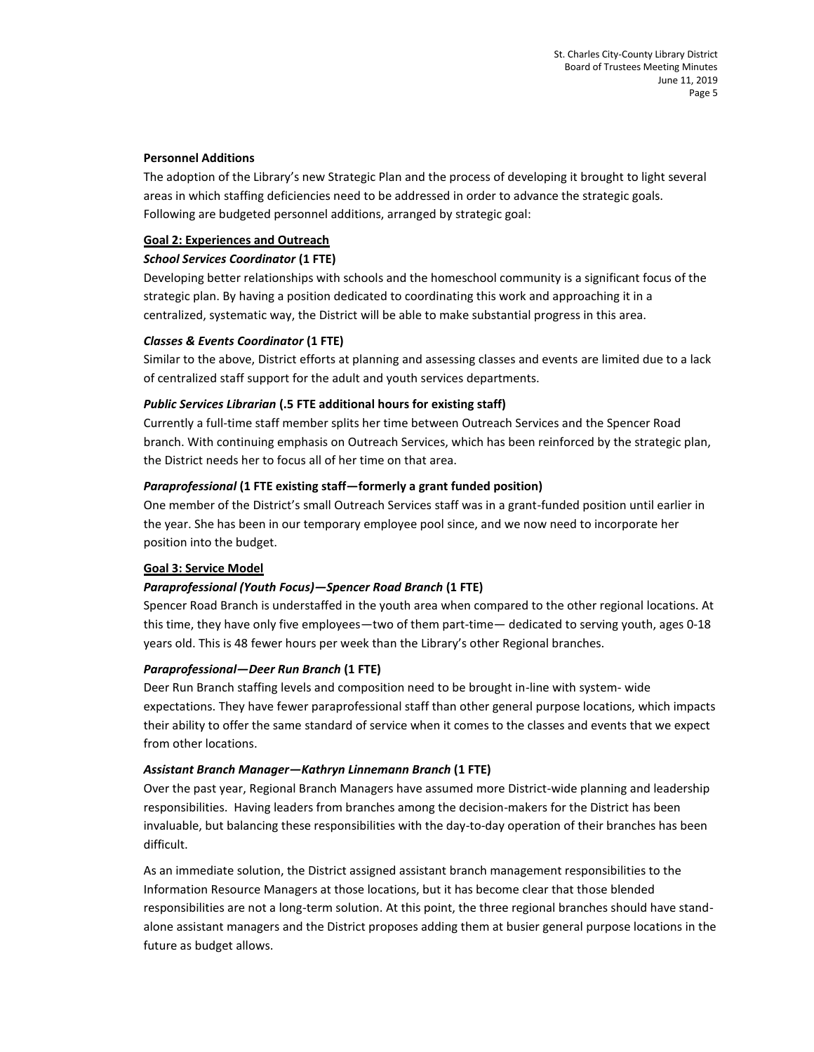### **Personnel Additions**

The adoption of the Library's new Strategic Plan and the process of developing it brought to light several areas in which staffing deficiencies need to be addressed in order to advance the strategic goals. Following are budgeted personnel additions, arranged by strategic goal:

# **Goal 2: Experiences and Outreach**

# *School Services Coordinator* **(1 FTE)**

Developing better relationships with schools and the homeschool community is a significant focus of the strategic plan. By having a position dedicated to coordinating this work and approaching it in a centralized, systematic way, the District will be able to make substantial progress in this area.

# *Classes & Events Coordinator* **(1 FTE)**

Similar to the above, District efforts at planning and assessing classes and events are limited due to a lack of centralized staff support for the adult and youth services departments.

# *Public Services Librarian* **(.5 FTE additional hours for existing staff)**

Currently a full-time staff member splits her time between Outreach Services and the Spencer Road branch. With continuing emphasis on Outreach Services, which has been reinforced by the strategic plan, the District needs her to focus all of her time on that area.

# *Paraprofessional* **(1 FTE existing staff—formerly a grant funded position)**

One member of the District's small Outreach Services staff was in a grant-funded position until earlier in the year. She has been in our temporary employee pool since, and we now need to incorporate her position into the budget.

# **Goal 3: Service Model**

# *Paraprofessional (Youth Focus)—Spencer Road Branch* **(1 FTE)**

Spencer Road Branch is understaffed in the youth area when compared to the other regional locations. At this time, they have only five employees—two of them part-time— dedicated to serving youth, ages 0-18 years old. This is 48 fewer hours per week than the Library's other Regional branches.

# *Paraprofessional—Deer Run Branch* **(1 FTE)**

Deer Run Branch staffing levels and composition need to be brought in-line with system- wide expectations. They have fewer paraprofessional staff than other general purpose locations, which impacts their ability to offer the same standard of service when it comes to the classes and events that we expect from other locations.

# *Assistant Branch Manager—Kathryn Linnemann Branch* **(1 FTE)**

Over the past year, Regional Branch Managers have assumed more District-wide planning and leadership responsibilities. Having leaders from branches among the decision-makers for the District has been invaluable, but balancing these responsibilities with the day-to-day operation of their branches has been difficult.

As an immediate solution, the District assigned assistant branch management responsibilities to the Information Resource Managers at those locations, but it has become clear that those blended responsibilities are not a long-term solution. At this point, the three regional branches should have standalone assistant managers and the District proposes adding them at busier general purpose locations in the future as budget allows.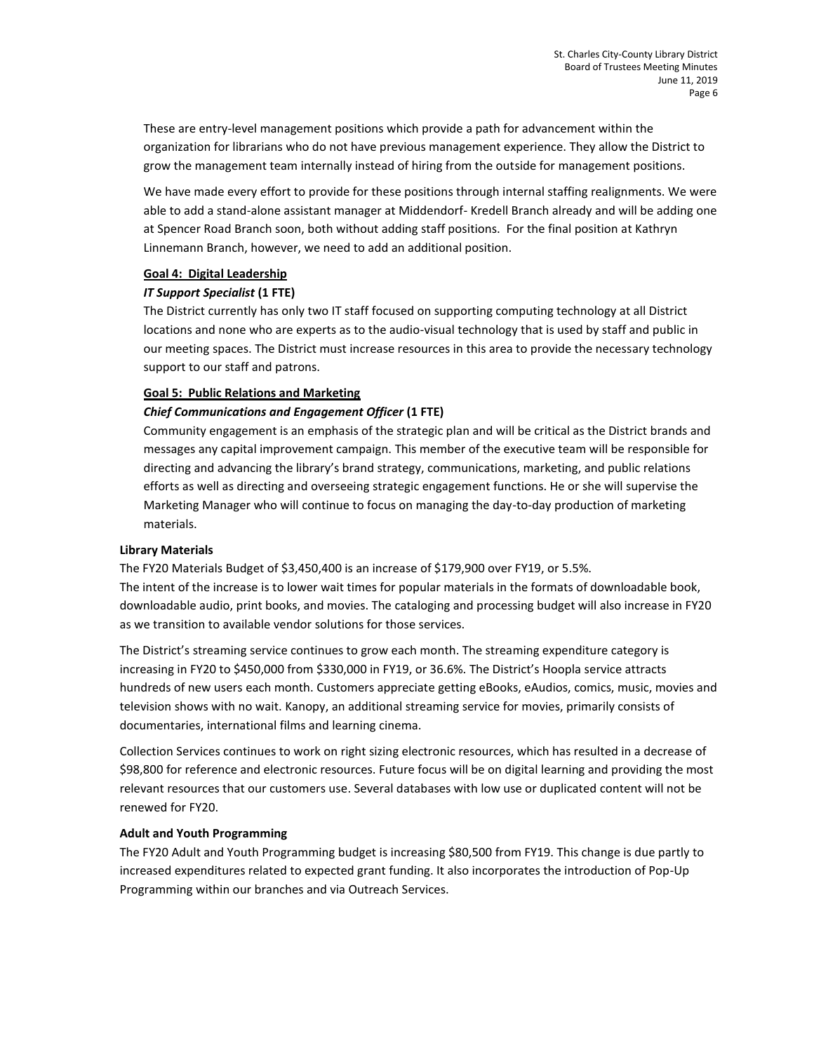These are entry-level management positions which provide a path for advancement within the organization for librarians who do not have previous management experience. They allow the District to grow the management team internally instead of hiring from the outside for management positions.

We have made every effort to provide for these positions through internal staffing realignments. We were able to add a stand-alone assistant manager at Middendorf- Kredell Branch already and will be adding one at Spencer Road Branch soon, both without adding staff positions. For the final position at Kathryn Linnemann Branch, however, we need to add an additional position.

### **Goal 4: Digital Leadership**

# *IT Support Specialist* **(1 FTE)**

The District currently has only two IT staff focused on supporting computing technology at all District locations and none who are experts as to the audio-visual technology that is used by staff and public in our meeting spaces. The District must increase resources in this area to provide the necessary technology support to our staff and patrons.

# **Goal 5: Public Relations and Marketing**

# *Chief Communications and Engagement Officer* **(1 FTE)**

Community engagement is an emphasis of the strategic plan and will be critical as the District brands and messages any capital improvement campaign. This member of the executive team will be responsible for directing and advancing the library's brand strategy, communications, marketing, and public relations efforts as well as directing and overseeing strategic engagement functions. He or she will supervise the Marketing Manager who will continue to focus on managing the day-to-day production of marketing materials.

# **Library Materials**

The FY20 Materials Budget of \$3,450,400 is an increase of \$179,900 over FY19, or 5.5%. The intent of the increase is to lower wait times for popular materials in the formats of downloadable book, downloadable audio, print books, and movies. The cataloging and processing budget will also increase in FY20 as we transition to available vendor solutions for those services.

The District's streaming service continues to grow each month. The streaming expenditure category is increasing in FY20 to \$450,000 from \$330,000 in FY19, or 36.6%. The District's Hoopla service attracts hundreds of new users each month. Customers appreciate getting eBooks, eAudios, comics, music, movies and television shows with no wait. Kanopy, an additional streaming service for movies, primarily consists of documentaries, international films and learning cinema.

Collection Services continues to work on right sizing electronic resources, which has resulted in a decrease of \$98,800 for reference and electronic resources. Future focus will be on digital learning and providing the most relevant resources that our customers use. Several databases with low use or duplicated content will not be renewed for FY20.

### **Adult and Youth Programming**

The FY20 Adult and Youth Programming budget is increasing \$80,500 from FY19. This change is due partly to increased expenditures related to expected grant funding. It also incorporates the introduction of Pop-Up Programming within our branches and via Outreach Services.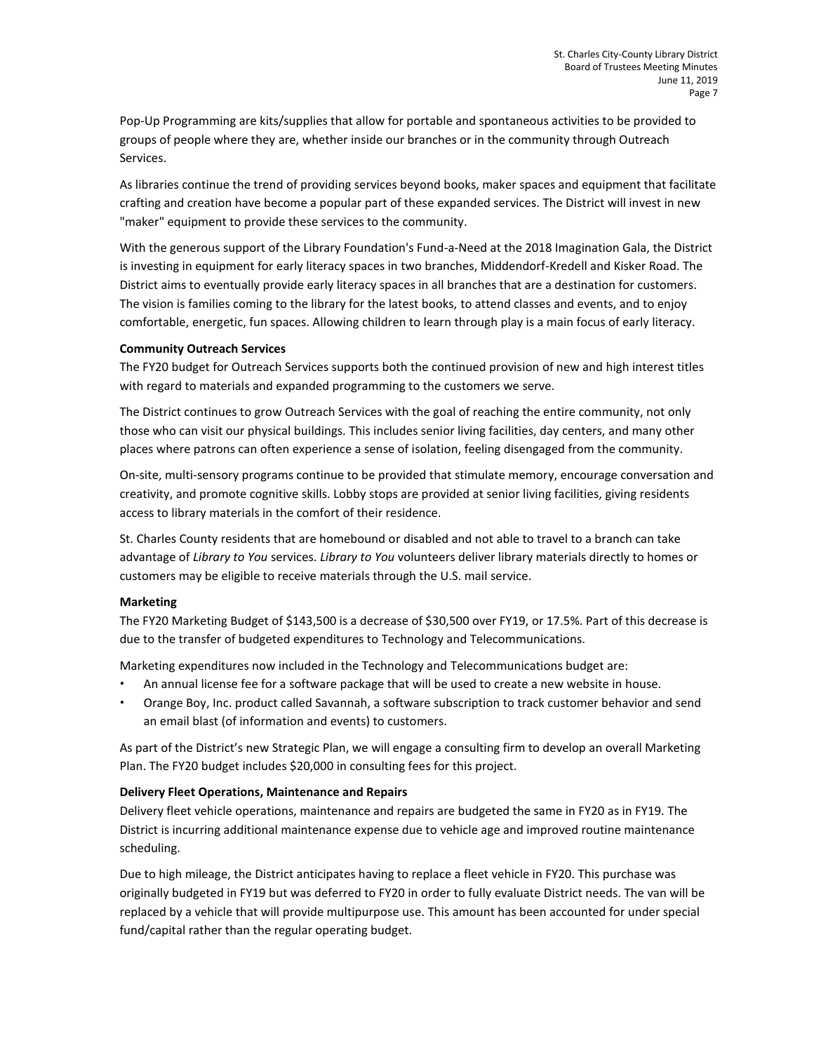Pop-Up Programming are kits/supplies that allow for portable and spontaneous activities to be provided to groups of people where they are, whether inside our branches or in the community through Outreach Services.

As libraries continue the trend of providing services beyond books, maker spaces and equipment that facilitate crafting and creation have become a popular part of these expanded services. The District will invest in new "maker" equipment to provide these services to the community.

With the generous support of the Library Foundation's Fund-a-Need at the 2018 Imagination Gala, the District is investing in equipment for early literacy spaces in two branches, Middendorf-Kredell and Kisker Road. The District aims to eventually provide early literacy spaces in all branches that are a destination for customers. The vision is families coming to the library for the latest books, to attend classes and events, and to enjoy comfortable, energetic, fun spaces. Allowing children to learn through play is a main focus of early literacy.

### **Community Outreach Services**

The FY20 budget for Outreach Services supports both the continued provision of new and high interest titles with regard to materials and expanded programming to the customers we serve.

The District continues to grow Outreach Services with the goal of reaching the entire community, not only those who can visit our physical buildings. This includes senior living facilities, day centers, and many other places where patrons can often experience a sense of isolation, feeling disengaged from the community.

On-site, multi-sensory programs continue to be provided that stimulate memory, encourage conversation and creativity, and promote cognitive skills. Lobby stops are provided at senior living facilities, giving residents access to library materials in the comfort of their residence.

St. Charles County residents that are homebound or disabled and not able to travel to a branch can take advantage of *Library to You* services. *Library to You* volunteers deliver library materials directly to homes or customers may be eligible to receive materials through the U.S. mail service.

# **Marketing**

The FY20 Marketing Budget of \$143,500 is a decrease of \$30,500 over FY19, or 17.5%. Part of this decrease is due to the transfer of budgeted expenditures to Technology and Telecommunications.

Marketing expenditures now included in the Technology and Telecommunications budget are:

- An annual license fee for a software package that will be used to create a new website in house.
- Orange Boy, Inc. product called Savannah, a software subscription to track customer behavior and send an email blast (of information and events) to customers.

As part of the District's new Strategic Plan, we will engage a consulting firm to develop an overall Marketing Plan. The FY20 budget includes \$20,000 in consulting fees for this project.

### **Delivery Fleet Operations, Maintenance and Repairs**

Delivery fleet vehicle operations, maintenance and repairs are budgeted the same in FY20 as in FY19. The District is incurring additional maintenance expense due to vehicle age and improved routine maintenance scheduling.

Due to high mileage, the District anticipates having to replace a fleet vehicle in FY20. This purchase was originally budgeted in FY19 but was deferred to FY20 in order to fully evaluate District needs. The van will be replaced by a vehicle that will provide multipurpose use. This amount has been accounted for under special fund/capital rather than the regular operating budget.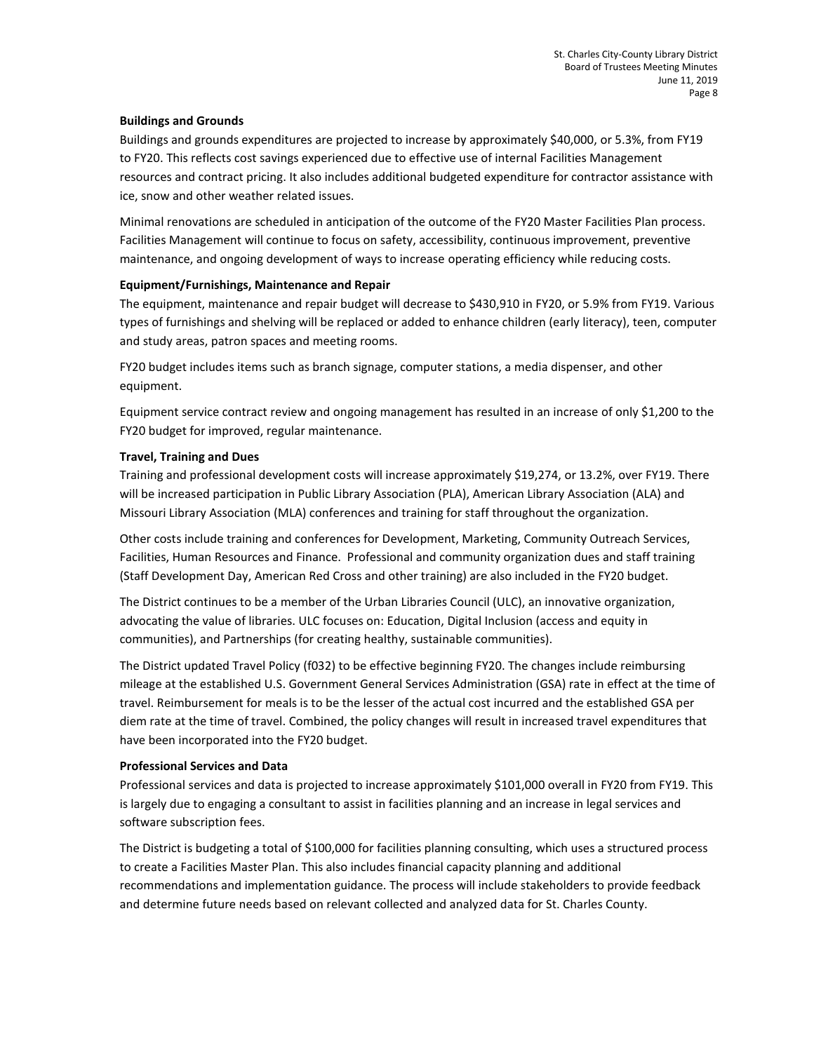### **Buildings and Grounds**

Buildings and grounds expenditures are projected to increase by approximately \$40,000, or 5.3%, from FY19 to FY20. This reflects cost savings experienced due to effective use of internal Facilities Management resources and contract pricing. It also includes additional budgeted expenditure for contractor assistance with ice, snow and other weather related issues.

Minimal renovations are scheduled in anticipation of the outcome of the FY20 Master Facilities Plan process. Facilities Management will continue to focus on safety, accessibility, continuous improvement, preventive maintenance, and ongoing development of ways to increase operating efficiency while reducing costs.

### **Equipment/Furnishings, Maintenance and Repair**

The equipment, maintenance and repair budget will decrease to \$430,910 in FY20, or 5.9% from FY19. Various types of furnishings and shelving will be replaced or added to enhance children (early literacy), teen, computer and study areas, patron spaces and meeting rooms.

FY20 budget includes items such as branch signage, computer stations, a media dispenser, and other equipment.

Equipment service contract review and ongoing management has resulted in an increase of only \$1,200 to the FY20 budget for improved, regular maintenance.

### **Travel, Training and Dues**

Training and professional development costs will increase approximately \$19,274, or 13.2%, over FY19. There will be increased participation in Public Library Association (PLA), American Library Association (ALA) and Missouri Library Association (MLA) conferences and training for staff throughout the organization.

Other costs include training and conferences for Development, Marketing, Community Outreach Services, Facilities, Human Resources and Finance. Professional and community organization dues and staff training (Staff Development Day, American Red Cross and other training) are also included in the FY20 budget.

The District continues to be a member of the Urban Libraries Council (ULC), an innovative organization, advocating the value of libraries. ULC focuses on: Education, Digital Inclusion (access and equity in communities), and Partnerships (for creating healthy, sustainable communities).

The District updated Travel Policy (f032) to be effective beginning FY20. The changes include reimbursing mileage at the established U.S. Government General Services Administration (GSA) rate in effect at the time of travel. Reimbursement for meals is to be the lesser of the actual cost incurred and the established GSA per diem rate at the time of travel. Combined, the policy changes will result in increased travel expenditures that have been incorporated into the FY20 budget.

# **Professional Services and Data**

Professional services and data is projected to increase approximately \$101,000 overall in FY20 from FY19. This is largely due to engaging a consultant to assist in facilities planning and an increase in legal services and software subscription fees.

The District is budgeting a total of \$100,000 for facilities planning consulting, which uses a structured process to create a Facilities Master Plan. This also includes financial capacity planning and additional recommendations and implementation guidance. The process will include stakeholders to provide feedback and determine future needs based on relevant collected and analyzed data for St. Charles County.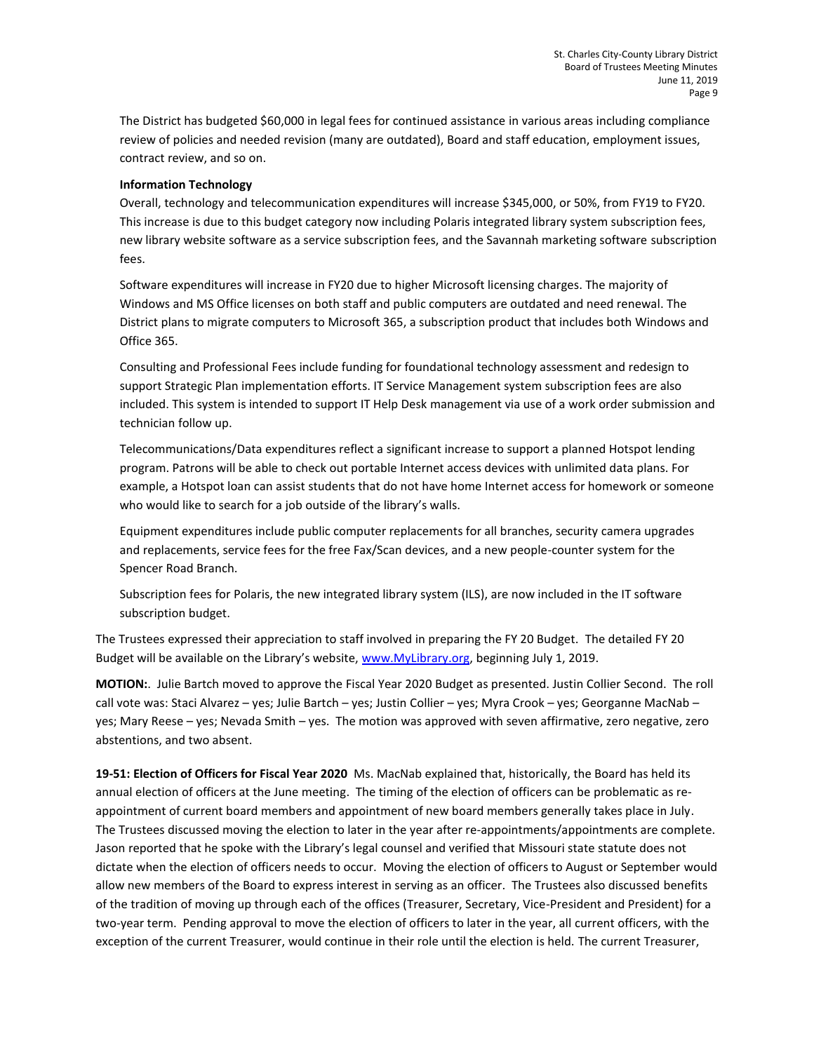The District has budgeted \$60,000 in legal fees for continued assistance in various areas including compliance review of policies and needed revision (many are outdated), Board and staff education, employment issues, contract review, and so on.

## **Information Technology**

Overall, technology and telecommunication expenditures will increase \$345,000, or 50%, from FY19 to FY20. This increase is due to this budget category now including Polaris integrated library system subscription fees, new library website software as a service subscription fees, and the Savannah marketing software subscription fees.

Software expenditures will increase in FY20 due to higher Microsoft licensing charges. The majority of Windows and MS Office licenses on both staff and public computers are outdated and need renewal. The District plans to migrate computers to Microsoft 365, a subscription product that includes both Windows and Office 365.

Consulting and Professional Fees include funding for foundational technology assessment and redesign to support Strategic Plan implementation efforts. IT Service Management system subscription fees are also included. This system is intended to support IT Help Desk management via use of a work order submission and technician follow up.

Telecommunications/Data expenditures reflect a significant increase to support a planned Hotspot lending program. Patrons will be able to check out portable Internet access devices with unlimited data plans. For example, a Hotspot loan can assist students that do not have home Internet access for homework or someone who would like to search for a job outside of the library's walls.

Equipment expenditures include public computer replacements for all branches, security camera upgrades and replacements, service fees for the free Fax/Scan devices, and a new people-counter system for the Spencer Road Branch.

Subscription fees for Polaris, the new integrated library system (ILS), are now included in the IT software subscription budget.

The Trustees expressed their appreciation to staff involved in preparing the FY 20 Budget. The detailed FY 20 Budget will be available on the Library's website, [www.MyLibrary.org,](http://www.mylibrary.org/) beginning July 1, 2019.

**MOTION:**. Julie Bartch moved to approve the Fiscal Year 2020 Budget as presented. Justin Collier Second. The roll call vote was: Staci Alvarez – yes; Julie Bartch – yes; Justin Collier – yes; Myra Crook – yes; Georganne MacNab – yes; Mary Reese – yes; Nevada Smith – yes. The motion was approved with seven affirmative, zero negative, zero abstentions, and two absent.

**19-51: Election of Officers for Fiscal Year 2020** Ms. MacNab explained that, historically, the Board has held its annual election of officers at the June meeting. The timing of the election of officers can be problematic as reappointment of current board members and appointment of new board members generally takes place in July. The Trustees discussed moving the election to later in the year after re-appointments/appointments are complete. Jason reported that he spoke with the Library's legal counsel and verified that Missouri state statute does not dictate when the election of officers needs to occur. Moving the election of officers to August or September would allow new members of the Board to express interest in serving as an officer. The Trustees also discussed benefits of the tradition of moving up through each of the offices (Treasurer, Secretary, Vice-President and President) for a two-year term. Pending approval to move the election of officers to later in the year, all current officers, with the exception of the current Treasurer, would continue in their role until the election is held. The current Treasurer,